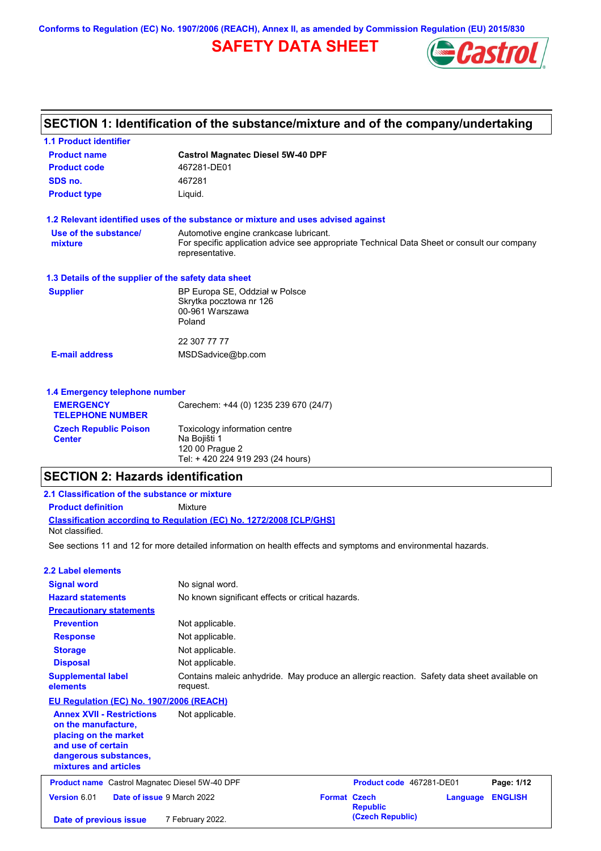**Conforms to Regulation (EC) No. 1907/2006 (REACH), Annex II, as amended by Commission Regulation (EU) 2015/830**

# **SAFETY DATA SHEET**



# **SECTION 1: Identification of the substance/mixture and of the company/undertaking**

| <b>1.1 Product identifier</b>                        |                                                                                                                                                          |  |  |  |
|------------------------------------------------------|----------------------------------------------------------------------------------------------------------------------------------------------------------|--|--|--|
| <b>Product name</b>                                  | <b>Castrol Magnatec Diesel 5W-40 DPF</b>                                                                                                                 |  |  |  |
| <b>Product code</b>                                  | 467281-DE01                                                                                                                                              |  |  |  |
| SDS no.                                              | 467281                                                                                                                                                   |  |  |  |
| <b>Product type</b>                                  | Liquid.                                                                                                                                                  |  |  |  |
|                                                      | 1.2 Relevant identified uses of the substance or mixture and uses advised against                                                                        |  |  |  |
| Use of the substance/<br>mixture                     | Automotive engine crankcase lubricant.<br>For specific application advice see appropriate Technical Data Sheet or consult our company<br>representative. |  |  |  |
| 1.3 Details of the supplier of the safety data sheet |                                                                                                                                                          |  |  |  |
| <b>Supplier</b>                                      | BP Europa SE, Oddział w Polsce<br>Skrytka pocztowa nr 126<br>00-961 Warszawa<br>Poland                                                                   |  |  |  |
|                                                      | 22 307 77 77                                                                                                                                             |  |  |  |
| <b>E-mail address</b>                                | MSDSadvice@bp.com                                                                                                                                        |  |  |  |
| 1.4 Emergency telephone number                       |                                                                                                                                                          |  |  |  |
| <b>EMERGENCY</b><br><b>TELEPHONE NUMBER</b>          | Carechem: +44 (0) 1235 239 670 (24/7)                                                                                                                    |  |  |  |
| <b>Czech Republic Poison</b><br><b>Center</b>        | Toxicology information centre<br>Na Bojišti 1                                                                                                            |  |  |  |

120 00 Prague 2 Tel: + 420 224 919 293 (24 hours)

| <b>SECTION 2: Hazards identification</b>                                                                                                                 |                                                                                                                |  |  |
|----------------------------------------------------------------------------------------------------------------------------------------------------------|----------------------------------------------------------------------------------------------------------------|--|--|
| 2.1 Classification of the substance or mixture                                                                                                           |                                                                                                                |  |  |
| <b>Product definition</b>                                                                                                                                | Mixture                                                                                                        |  |  |
| Not classified.                                                                                                                                          | <b>Classification according to Regulation (EC) No. 1272/2008 [CLP/GHS]</b>                                     |  |  |
|                                                                                                                                                          | See sections 11 and 12 for more detailed information on health effects and symptoms and environmental hazards. |  |  |
| 2.2 Label elements                                                                                                                                       |                                                                                                                |  |  |
| <b>Signal word</b>                                                                                                                                       | No signal word.                                                                                                |  |  |
| <b>Hazard statements</b>                                                                                                                                 | No known significant effects or critical hazards.                                                              |  |  |
| <b>Precautionary statements</b>                                                                                                                          |                                                                                                                |  |  |
| <b>Prevention</b>                                                                                                                                        | Not applicable.                                                                                                |  |  |
| <b>Response</b>                                                                                                                                          | Not applicable.                                                                                                |  |  |
| <b>Storage</b>                                                                                                                                           | Not applicable.                                                                                                |  |  |
| <b>Disposal</b>                                                                                                                                          | Not applicable.                                                                                                |  |  |
| <b>Supplemental label</b><br>elements                                                                                                                    | Contains maleic anhydride. May produce an allergic reaction. Safety data sheet available on<br>request.        |  |  |
| EU Regulation (EC) No. 1907/2006 (REACH)                                                                                                                 |                                                                                                                |  |  |
| <b>Annex XVII - Restrictions</b><br>on the manufacture.<br>placing on the market<br>and use of certain<br>dangerous substances,<br>mixtures and articles | Not applicable.                                                                                                |  |  |

**Product name** Castrol Magnatec Diesel 5W-40 DPF **Product Code 467281-DE01 Page: 1/12** Page: 1/12 **Version** 6.01 **Date of issue** 9 March 2022 **Format Czech Republic Language ENGLISH (Czech Republic) Date of previous issue** 7 February 2022.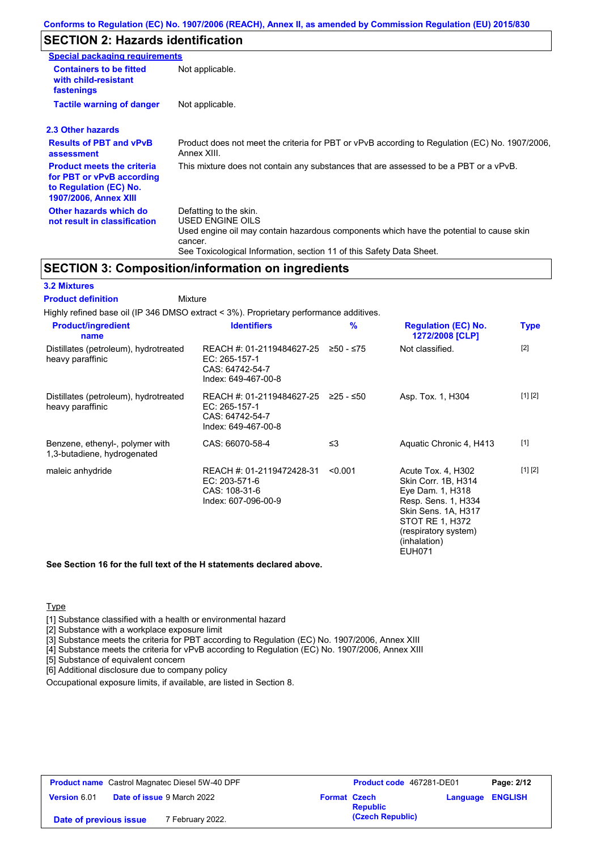#### **Conforms to Regulation (EC) No. 1907/2006 (REACH), Annex II, as amended by Commission Regulation (EU) 2015/830**

# **SECTION 2: Hazards identification**

| <b>Special packaging requirements</b>                                                                                    |                                                                                                                                                                                                                          |  |  |
|--------------------------------------------------------------------------------------------------------------------------|--------------------------------------------------------------------------------------------------------------------------------------------------------------------------------------------------------------------------|--|--|
| <b>Containers to be fitted</b><br>Not applicable.<br>with child-resistant<br>fastenings                                  |                                                                                                                                                                                                                          |  |  |
| <b>Tactile warning of danger</b>                                                                                         | Not applicable.                                                                                                                                                                                                          |  |  |
| 2.3 Other hazards                                                                                                        |                                                                                                                                                                                                                          |  |  |
| <b>Results of PBT and vPvB</b><br>assessment                                                                             | Product does not meet the criteria for PBT or vPvB according to Regulation (EC) No. 1907/2006.<br>Annex XIII.                                                                                                            |  |  |
| <b>Product meets the criteria</b><br>for PBT or vPvB according<br>to Regulation (EC) No.<br><b>1907/2006, Annex XIII</b> | This mixture does not contain any substances that are assessed to be a PBT or a vPvB.                                                                                                                                    |  |  |
| Other hazards which do<br>not result in classification                                                                   | Defatting to the skin.<br>USED ENGINE OILS<br>Used engine oil may contain hazardous components which have the potential to cause skin<br>cancer.<br>See Toxicological Information, section 11 of this Safety Data Sheet. |  |  |

#### **SECTION 3: Composition/information on ingredients**

#### **3.2 Mixtures**

Mixture **Product definition**

Highly refined base oil (IP 346 DMSO extract < 3%). Proprietary performance additives.

| <b>Product/ingredient</b><br>name                              | <b>Identifiers</b>                                                                   | $\frac{9}{6}$ | <b>Regulation (EC) No.</b><br>1272/2008 [CLP]                                                                                                                                           | <b>Type</b> |
|----------------------------------------------------------------|--------------------------------------------------------------------------------------|---------------|-----------------------------------------------------------------------------------------------------------------------------------------------------------------------------------------|-------------|
| Distillates (petroleum), hydrotreated<br>heavy paraffinic      | REACH #: 01-2119484627-25<br>EC: 265-157-1<br>CAS: 64742-54-7<br>Index: 649-467-00-8 | ≥50 - ≤75     | Not classified.                                                                                                                                                                         | $[2]$       |
| Distillates (petroleum), hydrotreated<br>heavy paraffinic      | REACH #: 01-2119484627-25<br>EC: 265-157-1<br>CAS: 64742-54-7<br>Index: 649-467-00-8 | ≥25 - ≤50     | Asp. Tox. 1, H304                                                                                                                                                                       | [1] [2]     |
| Benzene, ethenyl-, polymer with<br>1,3-butadiene, hydrogenated | CAS: 66070-58-4                                                                      | $\leq$ 3      | Aquatic Chronic 4, H413                                                                                                                                                                 | $[1]$       |
| maleic anhydride                                               | REACH #: 01-2119472428-31<br>EC: 203-571-6<br>CAS: 108-31-6<br>Index: 607-096-00-9   | < 0.001       | Acute Tox. 4, H302<br>Skin Corr. 1B, H314<br>Eye Dam. 1, H318<br>Resp. Sens. 1, H334<br>Skin Sens. 1A, H317<br>STOT RE 1, H372<br>(respiratory system)<br>(inhalation)<br><b>EUH071</b> | [1] [2]     |

**See Section 16 for the full text of the H statements declared above.**

#### **Type**

[1] Substance classified with a health or environmental hazard

[2] Substance with a workplace exposure limit

[3] Substance meets the criteria for PBT according to Regulation (EC) No. 1907/2006, Annex XIII

[4] Substance meets the criteria for vPvB according to Regulation (EC) No. 1907/2006, Annex XIII

[5] Substance of equivalent concern

[6] Additional disclosure due to company policy

Occupational exposure limits, if available, are listed in Section 8.

| <b>Product name</b> Castrol Magnatec Diesel 5W-40 DPF |                                   | Product code 467281-DE01 |                  | Page: 2/12              |  |
|-------------------------------------------------------|-----------------------------------|--------------------------|------------------|-------------------------|--|
| <b>Version 6.01</b>                                   | <b>Date of issue 9 March 2022</b> | <b>Format Czech</b>      | <b>Republic</b>  | <b>Language ENGLISH</b> |  |
| Date of previous issue                                | 7 February 2022.                  |                          | (Czech Republic) |                         |  |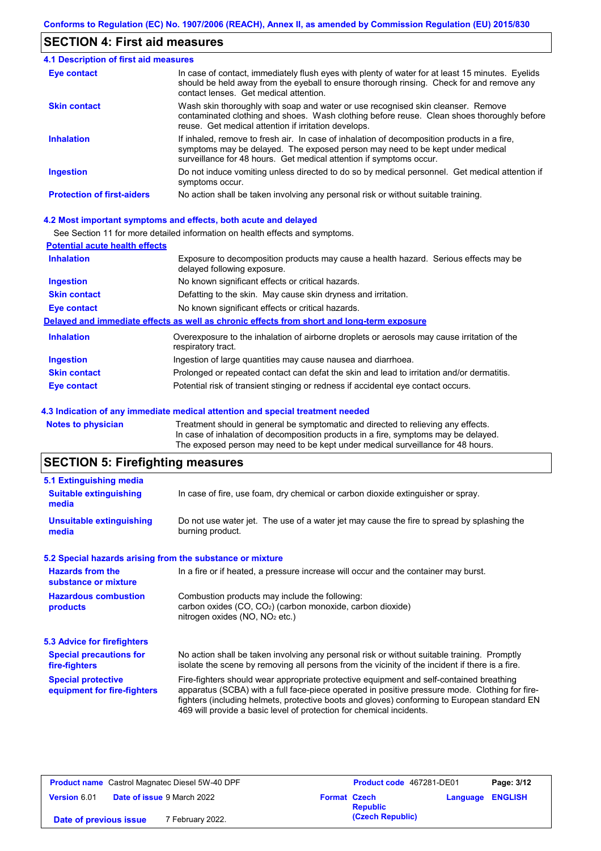## **SECTION 4: First aid measures**

| 4.1 Description of first aid measures |                                                                                                                                                                                                                                                     |  |  |
|---------------------------------------|-----------------------------------------------------------------------------------------------------------------------------------------------------------------------------------------------------------------------------------------------------|--|--|
| Eye contact                           | In case of contact, immediately flush eyes with plenty of water for at least 15 minutes. Eyelids<br>should be held away from the eyeball to ensure thorough rinsing. Check for and remove any<br>contact lenses. Get medical attention.             |  |  |
| <b>Skin contact</b>                   | Wash skin thoroughly with soap and water or use recognised skin cleanser. Remove<br>contaminated clothing and shoes. Wash clothing before reuse. Clean shoes thoroughly before<br>reuse. Get medical attention if irritation develops.              |  |  |
| <b>Inhalation</b>                     | If inhaled, remove to fresh air. In case of inhalation of decomposition products in a fire,<br>symptoms may be delayed. The exposed person may need to be kept under medical<br>surveillance for 48 hours. Get medical attention if symptoms occur. |  |  |
| <b>Ingestion</b>                      | Do not induce vomiting unless directed to do so by medical personnel. Get medical attention if<br>symptoms occur.                                                                                                                                   |  |  |
| <b>Protection of first-aiders</b>     | No action shall be taken involving any personal risk or without suitable training.                                                                                                                                                                  |  |  |

#### **4.2 Most important symptoms and effects, both acute and delayed**

See Section 11 for more detailed information on health effects and symptoms.

| <b>Potential acute health effects</b> |                                                                                                                     |
|---------------------------------------|---------------------------------------------------------------------------------------------------------------------|
| <b>Inhalation</b>                     | Exposure to decomposition products may cause a health hazard. Serious effects may be<br>delayed following exposure. |
| <b>Ingestion</b>                      | No known significant effects or critical hazards.                                                                   |
| <b>Skin contact</b>                   | Defatting to the skin. May cause skin dryness and irritation.                                                       |
| <b>Eye contact</b>                    | No known significant effects or critical hazards.                                                                   |
|                                       | Delayed and immediate effects as well as chronic effects from short and long-term exposure                          |
| <b>Inhalation</b>                     | Overexposure to the inhalation of airborne droplets or aerosols may cause irritation of the<br>respiratory tract.   |
| <b>Ingestion</b>                      | Ingestion of large quantities may cause nausea and diarrhoea.                                                       |
| <b>Skin contact</b>                   | Prolonged or repeated contact can defat the skin and lead to irritation and/or dermatitis.                          |
| Eye contact                           | Potential risk of transient stinging or redness if accidental eye contact occurs.                                   |
|                                       |                                                                                                                     |

#### **4.3 Indication of any immediate medical attention and special treatment needed**

**Notes to physician** Treatment should in general be symptomatic and directed to relieving any effects. In case of inhalation of decomposition products in a fire, symptoms may be delayed. The exposed person may need to be kept under medical surveillance for 48 hours.

# **SECTION 5: Firefighting measures**

| 5.1 Extinguishing media                                                                                                    |                                                                                                                                                                                                                                                                                                                                                                   |  |  |
|----------------------------------------------------------------------------------------------------------------------------|-------------------------------------------------------------------------------------------------------------------------------------------------------------------------------------------------------------------------------------------------------------------------------------------------------------------------------------------------------------------|--|--|
| In case of fire, use foam, dry chemical or carbon dioxide extinguisher or spray.<br><b>Suitable extinguishing</b><br>media |                                                                                                                                                                                                                                                                                                                                                                   |  |  |
| <b>Unsuitable extinguishing</b><br>media                                                                                   | Do not use water jet. The use of a water jet may cause the fire to spread by splashing the<br>burning product.                                                                                                                                                                                                                                                    |  |  |
|                                                                                                                            | 5.2 Special hazards arising from the substance or mixture                                                                                                                                                                                                                                                                                                         |  |  |
| <b>Hazards from the</b><br>substance or mixture                                                                            | In a fire or if heated, a pressure increase will occur and the container may burst.                                                                                                                                                                                                                                                                               |  |  |
| <b>Hazardous combustion</b><br>products                                                                                    | Combustion products may include the following:<br>carbon oxides $(CO, CO2)$ (carbon monoxide, carbon dioxide)<br>nitrogen oxides ( $NO$ , $NO2$ etc.)                                                                                                                                                                                                             |  |  |
| 5.3 Advice for firefighters                                                                                                |                                                                                                                                                                                                                                                                                                                                                                   |  |  |
| <b>Special precautions for</b><br>fire-fighters                                                                            | No action shall be taken involving any personal risk or without suitable training. Promptly<br>isolate the scene by removing all persons from the vicinity of the incident if there is a fire.                                                                                                                                                                    |  |  |
| <b>Special protective</b><br>equipment for fire-fighters                                                                   | Fire-fighters should wear appropriate protective equipment and self-contained breathing<br>apparatus (SCBA) with a full face-piece operated in positive pressure mode. Clothing for fire-<br>fighters (including helmets, protective boots and gloves) conforming to European standard EN<br>469 will provide a basic level of protection for chemical incidents. |  |  |

| <b>Product name</b> Castrol Magnatec Diesel 5W-40 DPF |  | Product code 467281-DE01          |                     | Page: 3/12      |                         |  |
|-------------------------------------------------------|--|-----------------------------------|---------------------|-----------------|-------------------------|--|
| Version 6.01                                          |  | <b>Date of issue 9 March 2022</b> | <b>Format Czech</b> | <b>Republic</b> | <b>Language ENGLISH</b> |  |
| 7 February 2022.<br>Date of previous issue            |  |                                   | (Czech Republic)    |                 |                         |  |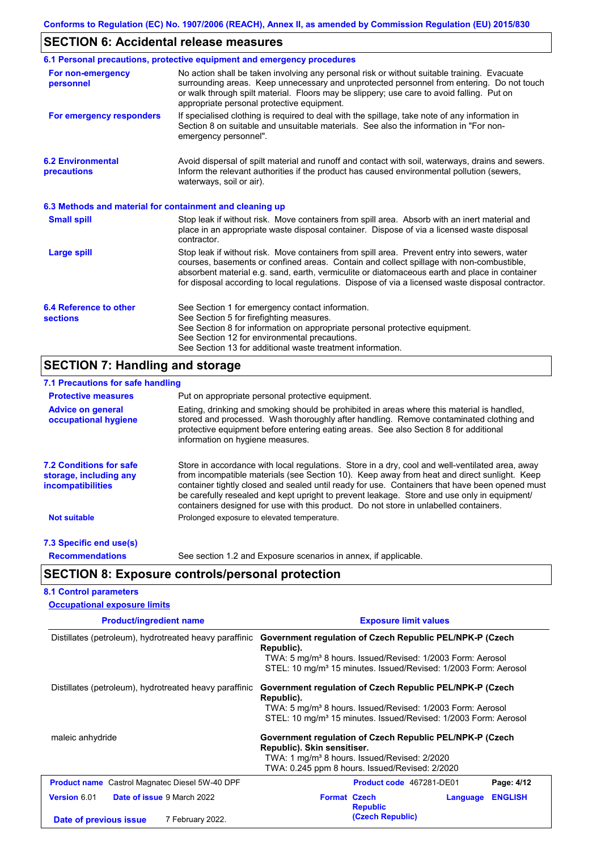# **SECTION 6: Accidental release measures**

|                                                          | 6.1 Personal precautions, protective equipment and emergency procedures                                                                                                                                                                                                                                                                                                                        |  |  |  |
|----------------------------------------------------------|------------------------------------------------------------------------------------------------------------------------------------------------------------------------------------------------------------------------------------------------------------------------------------------------------------------------------------------------------------------------------------------------|--|--|--|
| For non-emergency<br>personnel                           | No action shall be taken involving any personal risk or without suitable training. Evacuate<br>surrounding areas. Keep unnecessary and unprotected personnel from entering. Do not touch<br>or walk through spilt material. Floors may be slippery; use care to avoid falling. Put on<br>appropriate personal protective equipment.                                                            |  |  |  |
| For emergency responders                                 | If specialised clothing is required to deal with the spillage, take note of any information in<br>Section 8 on suitable and unsuitable materials. See also the information in "For non-<br>emergency personnel".                                                                                                                                                                               |  |  |  |
| <b>6.2 Environmental</b><br>precautions                  | Avoid dispersal of spilt material and runoff and contact with soil, waterways, drains and sewers.<br>Inform the relevant authorities if the product has caused environmental pollution (sewers,<br>waterways, soil or air).                                                                                                                                                                    |  |  |  |
| 6.3 Methods and material for containment and cleaning up |                                                                                                                                                                                                                                                                                                                                                                                                |  |  |  |
| <b>Small spill</b>                                       | Stop leak if without risk. Move containers from spill area. Absorb with an inert material and<br>place in an appropriate waste disposal container. Dispose of via a licensed waste disposal<br>contractor.                                                                                                                                                                                     |  |  |  |
| <b>Large spill</b>                                       | Stop leak if without risk. Move containers from spill area. Prevent entry into sewers, water<br>courses, basements or confined areas. Contain and collect spillage with non-combustible,<br>absorbent material e.g. sand, earth, vermiculite or diatomaceous earth and place in container<br>for disposal according to local regulations. Dispose of via a licensed waste disposal contractor. |  |  |  |
| 6.4 Reference to other<br><b>sections</b>                | See Section 1 for emergency contact information.<br>See Section 5 for firefighting measures.<br>See Section 8 for information on appropriate personal protective equipment.<br>See Section 12 for environmental precautions.<br>See Section 13 for additional waste treatment information.                                                                                                     |  |  |  |

# **SECTION 7: Handling and storage**

| 7.1 Precautions for safe handling                                                    |                                                                                                                                                                                                                                                                                                                                                                                                                                                                                          |  |  |  |
|--------------------------------------------------------------------------------------|------------------------------------------------------------------------------------------------------------------------------------------------------------------------------------------------------------------------------------------------------------------------------------------------------------------------------------------------------------------------------------------------------------------------------------------------------------------------------------------|--|--|--|
| <b>Protective measures</b>                                                           | Put on appropriate personal protective equipment.                                                                                                                                                                                                                                                                                                                                                                                                                                        |  |  |  |
| <b>Advice on general</b><br>occupational hygiene                                     | Eating, drinking and smoking should be prohibited in areas where this material is handled,<br>stored and processed. Wash thoroughly after handling. Remove contaminated clothing and<br>protective equipment before entering eating areas. See also Section 8 for additional<br>information on hygiene measures.                                                                                                                                                                         |  |  |  |
| <b>7.2 Conditions for safe</b><br>storage, including any<br><i>incompatibilities</i> | Store in accordance with local regulations. Store in a dry, cool and well-ventilated area, away<br>from incompatible materials (see Section 10). Keep away from heat and direct sunlight. Keep<br>container tightly closed and sealed until ready for use. Containers that have been opened must<br>be carefully resealed and kept upright to prevent leakage. Store and use only in equipment/<br>containers designed for use with this product. Do not store in unlabelled containers. |  |  |  |
| <b>Not suitable</b>                                                                  | Prolonged exposure to elevated temperature.                                                                                                                                                                                                                                                                                                                                                                                                                                              |  |  |  |
| 7.3 Specific end use(s)                                                              |                                                                                                                                                                                                                                                                                                                                                                                                                                                                                          |  |  |  |
| <b>Recommendations</b>                                                               | See section 1.2 and Exposure scenarios in annex, if applicable.                                                                                                                                                                                                                                                                                                                                                                                                                          |  |  |  |
|                                                                                      | <b>SECTION 8: Exposure controls/personal protection</b>                                                                                                                                                                                                                                                                                                                                                                                                                                  |  |  |  |
| <b>8.1 Control parameters</b>                                                        |                                                                                                                                                                                                                                                                                                                                                                                                                                                                                          |  |  |  |
| <b>Occupational exposure limits</b>                                                  |                                                                                                                                                                                                                                                                                                                                                                                                                                                                                          |  |  |  |

| <b>Product/ingredient name</b>                           | <b>Exposure limit values</b>                                                                                                                                                                                                    |  |  |
|----------------------------------------------------------|---------------------------------------------------------------------------------------------------------------------------------------------------------------------------------------------------------------------------------|--|--|
| Distillates (petroleum), hydrotreated heavy paraffinic   | Government regulation of Czech Republic PEL/NPK-P (Czech<br>Republic).<br>TWA: 5 mg/m <sup>3</sup> 8 hours. Issued/Revised: 1/2003 Form: Aerosol<br>STEL: 10 mg/m <sup>3</sup> 15 minutes. Issued/Revised: 1/2003 Form: Aerosol |  |  |
| Distillates (petroleum), hydrotreated heavy paraffinic   | Government regulation of Czech Republic PEL/NPK-P (Czech<br>Republic).<br>TWA: 5 mg/m <sup>3</sup> 8 hours. Issued/Revised: 1/2003 Form: Aerosol<br>STEL: 10 mg/m <sup>3</sup> 15 minutes. Issued/Revised: 1/2003 Form: Aerosol |  |  |
| maleic anhydride                                         | Government regulation of Czech Republic PEL/NPK-P (Czech<br>Republic). Skin sensitiser.<br>TWA: 1 mg/m <sup>3</sup> 8 hours. Issued/Revised: 2/2020<br>TWA: 0.245 ppm 8 hours. Issued/Revised: 2/2020                           |  |  |
| <b>Product name</b> Castrol Magnatec Diesel 5W-40 DPF    | Product code 467281-DE01<br>Page: 4/12                                                                                                                                                                                          |  |  |
| <b>Version 6.01</b><br><b>Date of issue 9 March 2022</b> | <b>ENGLISH</b><br><b>Format Czech</b><br>Language<br><b>Republic</b>                                                                                                                                                            |  |  |
| 7 February 2022.<br>Date of previous issue               | (Czech Republic)                                                                                                                                                                                                                |  |  |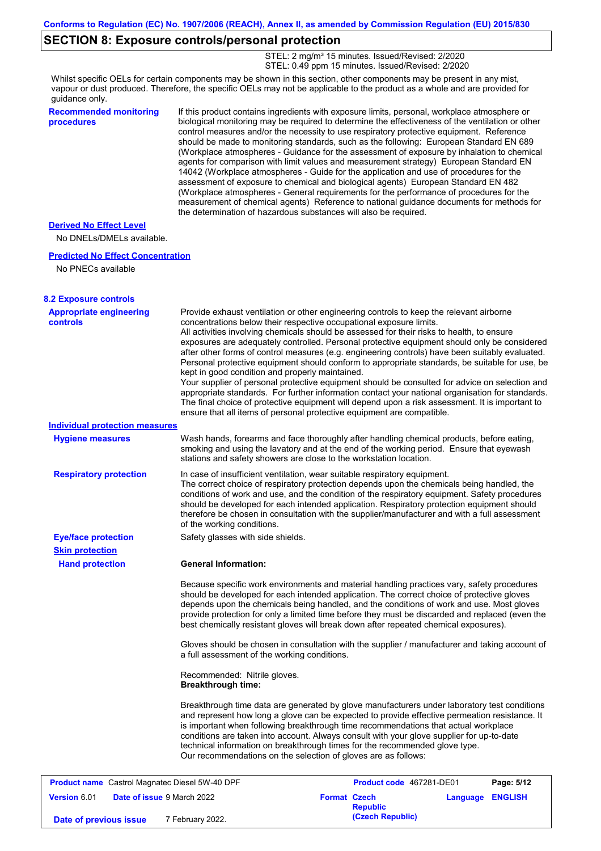### **SECTION 8: Exposure controls/personal protection**

STEL: 2 mg/m<sup>3</sup> 15 minutes. Issued/Revised: 2/2020 STEL: 0.49 ppm 15 minutes. Issued/Revised: 2/2020

Whilst specific OELs for certain components may be shown in this section, other components may be present in any mist, vapour or dust produced. Therefore, the specific OELs may not be applicable to the product as a whole and are provided for guidance only.

**Recommended monitoring procedures** If this product contains ingredients with exposure limits, personal, workplace atmosphere or biological monitoring may be required to determine the effectiveness of the ventilation or other control measures and/or the necessity to use respiratory protective equipment. Reference should be made to monitoring standards, such as the following: European Standard EN 689 (Workplace atmospheres - Guidance for the assessment of exposure by inhalation to chemical agents for comparison with limit values and measurement strategy) European Standard EN 14042 (Workplace atmospheres - Guide for the application and use of procedures for the assessment of exposure to chemical and biological agents) European Standard EN 482 (Workplace atmospheres - General requirements for the performance of procedures for the measurement of chemical agents) Reference to national guidance documents for methods for the determination of hazardous substances will also be required.

#### **Derived No Effect Level**

No DNELs/DMELs available.

#### **Predicted No Effect Concentration**

| No PNECs available                         |                                                                                                                                                                                                                                                                                                                                                                                                                                                                                                                                                                                                                                                                                                                                                                                                                                                                                                                                                                                                         |
|--------------------------------------------|---------------------------------------------------------------------------------------------------------------------------------------------------------------------------------------------------------------------------------------------------------------------------------------------------------------------------------------------------------------------------------------------------------------------------------------------------------------------------------------------------------------------------------------------------------------------------------------------------------------------------------------------------------------------------------------------------------------------------------------------------------------------------------------------------------------------------------------------------------------------------------------------------------------------------------------------------------------------------------------------------------|
| <b>8.2 Exposure controls</b>               |                                                                                                                                                                                                                                                                                                                                                                                                                                                                                                                                                                                                                                                                                                                                                                                                                                                                                                                                                                                                         |
| <b>Appropriate engineering</b><br>controls | Provide exhaust ventilation or other engineering controls to keep the relevant airborne<br>concentrations below their respective occupational exposure limits.<br>All activities involving chemicals should be assessed for their risks to health, to ensure<br>exposures are adequately controlled. Personal protective equipment should only be considered<br>after other forms of control measures (e.g. engineering controls) have been suitably evaluated.<br>Personal protective equipment should conform to appropriate standards, be suitable for use, be<br>kept in good condition and properly maintained.<br>Your supplier of personal protective equipment should be consulted for advice on selection and<br>appropriate standards. For further information contact your national organisation for standards.<br>The final choice of protective equipment will depend upon a risk assessment. It is important to<br>ensure that all items of personal protective equipment are compatible. |
| <b>Individual protection measures</b>      |                                                                                                                                                                                                                                                                                                                                                                                                                                                                                                                                                                                                                                                                                                                                                                                                                                                                                                                                                                                                         |
| <b>Hygiene measures</b>                    | Wash hands, forearms and face thoroughly after handling chemical products, before eating,<br>smoking and using the lavatory and at the end of the working period. Ensure that eyewash<br>stations and safety showers are close to the workstation location.                                                                                                                                                                                                                                                                                                                                                                                                                                                                                                                                                                                                                                                                                                                                             |
| <b>Respiratory protection</b>              | In case of insufficient ventilation, wear suitable respiratory equipment.<br>The correct choice of respiratory protection depends upon the chemicals being handled, the<br>conditions of work and use, and the condition of the respiratory equipment. Safety procedures<br>should be developed for each intended application. Respiratory protection equipment should<br>therefore be chosen in consultation with the supplier/manufacturer and with a full assessment<br>of the working conditions.                                                                                                                                                                                                                                                                                                                                                                                                                                                                                                   |
| <b>Eye/face protection</b>                 | Safety glasses with side shields.                                                                                                                                                                                                                                                                                                                                                                                                                                                                                                                                                                                                                                                                                                                                                                                                                                                                                                                                                                       |
| <b>Skin protection</b>                     |                                                                                                                                                                                                                                                                                                                                                                                                                                                                                                                                                                                                                                                                                                                                                                                                                                                                                                                                                                                                         |
| <b>Hand protection</b>                     | <b>General Information:</b>                                                                                                                                                                                                                                                                                                                                                                                                                                                                                                                                                                                                                                                                                                                                                                                                                                                                                                                                                                             |
|                                            | Because specific work environments and material handling practices vary, safety procedures<br>should be developed for each intended application. The correct choice of protective gloves<br>depends upon the chemicals being handled, and the conditions of work and use. Most gloves<br>provide protection for only a limited time before they must be discarded and replaced (even the<br>best chemically resistant gloves will break down after repeated chemical exposures).                                                                                                                                                                                                                                                                                                                                                                                                                                                                                                                        |
|                                            | Gloves should be chosen in consultation with the supplier / manufacturer and taking account of<br>a full assessment of the working conditions.                                                                                                                                                                                                                                                                                                                                                                                                                                                                                                                                                                                                                                                                                                                                                                                                                                                          |
|                                            | Recommended: Nitrile gloves.<br><b>Breakthrough time:</b>                                                                                                                                                                                                                                                                                                                                                                                                                                                                                                                                                                                                                                                                                                                                                                                                                                                                                                                                               |
|                                            | Breakthrough time data are generated by glove manufacturers under laboratory test conditions<br>and represent how long a glove can be expected to provide effective permeation resistance. It<br>is important when following breakthrough time recommendations that actual workplace<br>conditions are taken into account. Always consult with your glove supplier for up-to-date<br>technical information on breakthrough times for the recommended glove type.<br>Our recommendations on the selection of gloves are as follows:                                                                                                                                                                                                                                                                                                                                                                                                                                                                      |

**Product name** Castrol Magnatec Diesel 5W-40 DPF **Product Code 467281-DE01 Page: 5/12 Version** 6.01 **Date of issue** 9 March 2022 **Format Czech Republic Language ENGLISH (Czech Republic) Date of previous issue** 7 February 2022.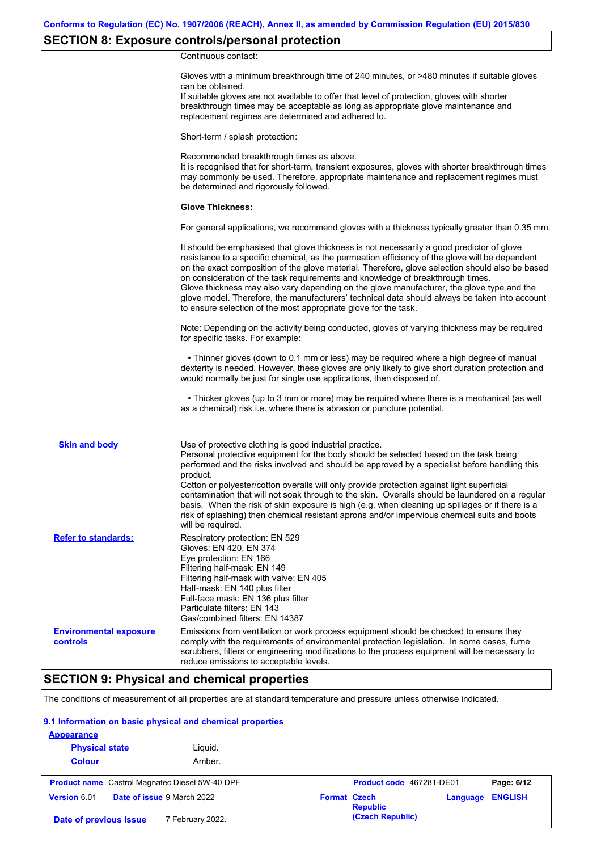# **SECTION 8: Exposure controls/personal protection**

Continuous contact:

|                                           | Gloves with a minimum breakthrough time of 240 minutes, or >480 minutes if suitable gloves<br>can be obtained.<br>If suitable gloves are not available to offer that level of protection, gloves with shorter<br>breakthrough times may be acceptable as long as appropriate glove maintenance and<br>replacement regimes are determined and adhered to.                                                                                                                                                                                                                                                                                                                              |
|-------------------------------------------|---------------------------------------------------------------------------------------------------------------------------------------------------------------------------------------------------------------------------------------------------------------------------------------------------------------------------------------------------------------------------------------------------------------------------------------------------------------------------------------------------------------------------------------------------------------------------------------------------------------------------------------------------------------------------------------|
|                                           | Short-term / splash protection:                                                                                                                                                                                                                                                                                                                                                                                                                                                                                                                                                                                                                                                       |
|                                           | Recommended breakthrough times as above.<br>It is recognised that for short-term, transient exposures, gloves with shorter breakthrough times<br>may commonly be used. Therefore, appropriate maintenance and replacement regimes must<br>be determined and rigorously followed.                                                                                                                                                                                                                                                                                                                                                                                                      |
|                                           | <b>Glove Thickness:</b>                                                                                                                                                                                                                                                                                                                                                                                                                                                                                                                                                                                                                                                               |
|                                           | For general applications, we recommend gloves with a thickness typically greater than 0.35 mm.                                                                                                                                                                                                                                                                                                                                                                                                                                                                                                                                                                                        |
|                                           | It should be emphasised that glove thickness is not necessarily a good predictor of glove<br>resistance to a specific chemical, as the permeation efficiency of the glove will be dependent<br>on the exact composition of the glove material. Therefore, glove selection should also be based<br>on consideration of the task requirements and knowledge of breakthrough times.<br>Glove thickness may also vary depending on the glove manufacturer, the glove type and the<br>glove model. Therefore, the manufacturers' technical data should always be taken into account<br>to ensure selection of the most appropriate glove for the task.                                     |
|                                           | Note: Depending on the activity being conducted, gloves of varying thickness may be required<br>for specific tasks. For example:                                                                                                                                                                                                                                                                                                                                                                                                                                                                                                                                                      |
|                                           | • Thinner gloves (down to 0.1 mm or less) may be required where a high degree of manual<br>dexterity is needed. However, these gloves are only likely to give short duration protection and<br>would normally be just for single use applications, then disposed of.                                                                                                                                                                                                                                                                                                                                                                                                                  |
|                                           | • Thicker gloves (up to 3 mm or more) may be required where there is a mechanical (as well<br>as a chemical) risk i.e. where there is abrasion or puncture potential.                                                                                                                                                                                                                                                                                                                                                                                                                                                                                                                 |
| <b>Skin and body</b>                      | Use of protective clothing is good industrial practice.<br>Personal protective equipment for the body should be selected based on the task being<br>performed and the risks involved and should be approved by a specialist before handling this<br>product.<br>Cotton or polyester/cotton overalls will only provide protection against light superficial<br>contamination that will not soak through to the skin. Overalls should be laundered on a regular<br>basis. When the risk of skin exposure is high (e.g. when cleaning up spillages or if there is a<br>risk of splashing) then chemical resistant aprons and/or impervious chemical suits and boots<br>will be required. |
| <b>Refer to standards:</b>                | Respiratory protection: EN 529<br>Gloves: EN 420, EN 374<br>Eye protection: EN 166<br>Filtering half-mask: EN 149<br>Filtering half-mask with valve: EN 405<br>Half-mask: EN 140 plus filter<br>Full-face mask: EN 136 plus filter<br>Particulate filters: EN 143<br>Gas/combined filters: EN 14387                                                                                                                                                                                                                                                                                                                                                                                   |
| <b>Environmental exposure</b><br>controls | Emissions from ventilation or work process equipment should be checked to ensure they<br>comply with the requirements of environmental protection legislation. In some cases, fume<br>scrubbers, filters or engineering modifications to the process equipment will be necessary to<br>reduce emissions to acceptable levels.                                                                                                                                                                                                                                                                                                                                                         |

### **SECTION 9: Physical and chemical properties**

The conditions of measurement of all properties are at standard temperature and pressure unless otherwise indicated.

#### **9.1 Information on basic physical and chemical properties**

| <b>Appearance</b><br><b>Physical state</b>            | Liguid.                    |                     |                          |          |                |
|-------------------------------------------------------|----------------------------|---------------------|--------------------------|----------|----------------|
| <b>Colour</b>                                         | Amber.                     |                     |                          |          |                |
| <b>Product name</b> Castrol Magnatec Diesel 5W-40 DPF |                            |                     | Product code 467281-DE01 |          | Page: 6/12     |
| Version 6.01                                          | Date of issue 9 March 2022 | <b>Format Czech</b> | <b>Republic</b>          | Language | <b>ENGLISH</b> |
| Date of previous issue                                | 7 February 2022.           |                     | (Czech Republic)         |          |                |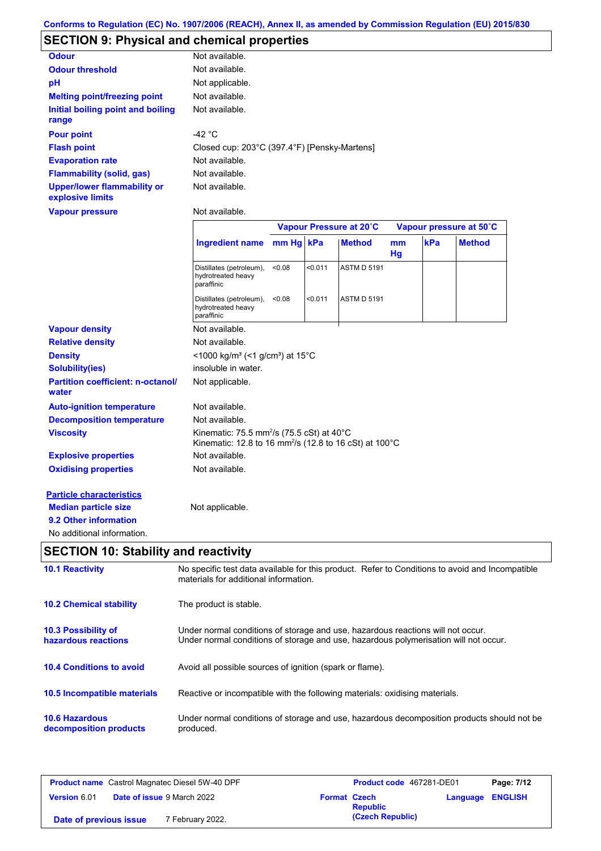# **SECTION 9: Physical and chemical properties**

| <b>Odour</b>                                           | Not available.                                                                                                                        |        |         |                         |          |     |                         |
|--------------------------------------------------------|---------------------------------------------------------------------------------------------------------------------------------------|--------|---------|-------------------------|----------|-----|-------------------------|
| <b>Odour threshold</b>                                 | Not available.                                                                                                                        |        |         |                         |          |     |                         |
| рH                                                     | Not applicable.                                                                                                                       |        |         |                         |          |     |                         |
| <b>Melting point/freezing point</b>                    | Not available.                                                                                                                        |        |         |                         |          |     |                         |
| <b>Initial boiling point and boiling</b><br>range      | Not available.                                                                                                                        |        |         |                         |          |     |                         |
| <b>Pour point</b>                                      | -42 $^{\circ}$ C                                                                                                                      |        |         |                         |          |     |                         |
| <b>Flash point</b>                                     | Closed cup: 203°C (397.4°F) [Pensky-Martens]                                                                                          |        |         |                         |          |     |                         |
| <b>Evaporation rate</b>                                | Not available.                                                                                                                        |        |         |                         |          |     |                         |
| <b>Flammability (solid, gas)</b>                       | Not available.                                                                                                                        |        |         |                         |          |     |                         |
| <b>Upper/lower flammability or</b><br>explosive limits | Not available.                                                                                                                        |        |         |                         |          |     |                         |
| <b>Vapour pressure</b>                                 | Not available.                                                                                                                        |        |         |                         |          |     |                         |
|                                                        |                                                                                                                                       |        |         | Vapour Pressure at 20°C |          |     | Vapour pressure at 50°C |
|                                                        | <b>Ingredient name</b>                                                                                                                | mm Hg  | kPa     | <b>Method</b>           | mm<br>Hg | kPa | <b>Method</b>           |
|                                                        | Distillates (petroleum),<br>hydrotreated heavy<br>paraffinic                                                                          | < 0.08 | < 0.011 | <b>ASTM D 5191</b>      |          |     |                         |
|                                                        | Distillates (petroleum),<br>hydrotreated heavy<br>paraffinic                                                                          | < 0.08 | < 0.011 | <b>ASTM D 5191</b>      |          |     |                         |
| <b>Vapour density</b>                                  | Not available.                                                                                                                        |        |         |                         |          |     |                         |
| <b>Relative density</b>                                | Not available.                                                                                                                        |        |         |                         |          |     |                         |
| <b>Density</b>                                         | <1000 kg/m <sup>3</sup> (<1 g/cm <sup>3</sup> ) at 15°C                                                                               |        |         |                         |          |     |                         |
| Solubility(ies)                                        | insoluble in water.                                                                                                                   |        |         |                         |          |     |                         |
| <b>Partition coefficient: n-octanol/</b><br>water      | Not applicable.                                                                                                                       |        |         |                         |          |     |                         |
| <b>Auto-ignition temperature</b>                       | Not available.                                                                                                                        |        |         |                         |          |     |                         |
| <b>Decomposition temperature</b>                       | Not available.                                                                                                                        |        |         |                         |          |     |                         |
| <b>Viscosity</b>                                       | Kinematic: 75.5 mm <sup>2</sup> /s (75.5 cSt) at $40^{\circ}$ C<br>Kinematic: 12.8 to 16 mm <sup>2</sup> /s (12.8 to 16 cSt) at 100°C |        |         |                         |          |     |                         |
| <b>Explosive properties</b>                            | Not available.                                                                                                                        |        |         |                         |          |     |                         |
| <b>Oxidising properties</b>                            | Not available.                                                                                                                        |        |         |                         |          |     |                         |
| <b>Particle characteristics</b>                        |                                                                                                                                       |        |         |                         |          |     |                         |
| <b>Median particle size</b><br>9.2 Other information   | Not applicable.                                                                                                                       |        |         |                         |          |     |                         |

| <b>10.1 Reactivity</b>                          | No specific test data available for this product. Refer to Conditions to avoid and Incompatible<br>materials for additional information.                                |
|-------------------------------------------------|-------------------------------------------------------------------------------------------------------------------------------------------------------------------------|
| <b>10.2 Chemical stability</b>                  | The product is stable.                                                                                                                                                  |
| 10.3 Possibility of<br>hazardous reactions      | Under normal conditions of storage and use, hazardous reactions will not occur.<br>Under normal conditions of storage and use, hazardous polymerisation will not occur. |
| <b>10.4 Conditions to avoid</b>                 | Avoid all possible sources of ignition (spark or flame).                                                                                                                |
| <b>10.5 Incompatible materials</b>              | Reactive or incompatible with the following materials: oxidising materials.                                                                                             |
| <b>10.6 Hazardous</b><br>decomposition products | Under normal conditions of storage and use, hazardous decomposition products should not be<br>produced.                                                                 |

| <b>Product name</b> Castrol Magnatec Diesel 5W-40 DPF |  | <b>Product code</b> 467281-DE01   |                     | Page: 7/12      |  |                  |
|-------------------------------------------------------|--|-----------------------------------|---------------------|-----------------|--|------------------|
| Version 6.01                                          |  | <b>Date of issue 9 March 2022</b> | <b>Format Czech</b> | <b>Republic</b> |  | Language ENGLISH |
| 7 February 2022.<br>Date of previous issue            |  |                                   | (Czech Republic)    |                 |  |                  |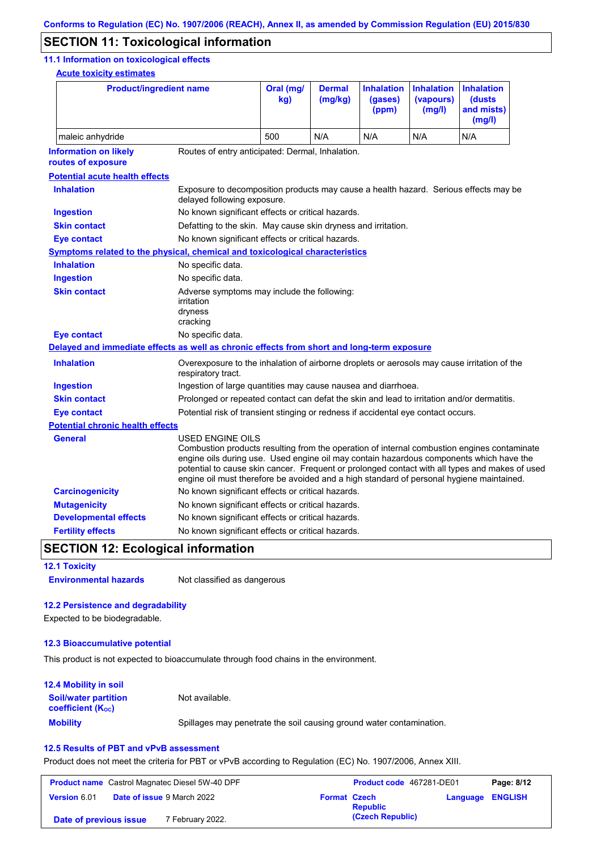## **SECTION 11: Toxicological information**

#### **11.1 Information on toxicological effects**

**Acute toxicity estimates**

| <b>Product/ingredient name</b>                                                             |                                                                                                                                                                                                                                                                                                                                                                                                                 | Oral (mg/<br>kg)                                                                                                    | <b>Dermal</b><br>(mg/kg) | <b>Inhalation</b><br>(gases)<br>(ppm) | <b>Inhalation</b><br>(vapours)<br>(mg/l) | <b>Inhalation</b><br><b>(dusts)</b><br>and mists)<br>(mg/l) |  |  |
|--------------------------------------------------------------------------------------------|-----------------------------------------------------------------------------------------------------------------------------------------------------------------------------------------------------------------------------------------------------------------------------------------------------------------------------------------------------------------------------------------------------------------|---------------------------------------------------------------------------------------------------------------------|--------------------------|---------------------------------------|------------------------------------------|-------------------------------------------------------------|--|--|
| maleic anhydride                                                                           |                                                                                                                                                                                                                                                                                                                                                                                                                 | 500                                                                                                                 | N/A                      | N/A                                   | N/A                                      | N/A                                                         |  |  |
| <b>Information on likely</b><br>routes of exposure                                         |                                                                                                                                                                                                                                                                                                                                                                                                                 | Routes of entry anticipated: Dermal, Inhalation.                                                                    |                          |                                       |                                          |                                                             |  |  |
| <b>Potential acute health effects</b>                                                      |                                                                                                                                                                                                                                                                                                                                                                                                                 |                                                                                                                     |                          |                                       |                                          |                                                             |  |  |
| <b>Inhalation</b>                                                                          |                                                                                                                                                                                                                                                                                                                                                                                                                 | Exposure to decomposition products may cause a health hazard. Serious effects may be<br>delayed following exposure. |                          |                                       |                                          |                                                             |  |  |
| <b>Ingestion</b>                                                                           | No known significant effects or critical hazards.                                                                                                                                                                                                                                                                                                                                                               |                                                                                                                     |                          |                                       |                                          |                                                             |  |  |
| <b>Skin contact</b>                                                                        | Defatting to the skin. May cause skin dryness and irritation.                                                                                                                                                                                                                                                                                                                                                   |                                                                                                                     |                          |                                       |                                          |                                                             |  |  |
| <b>Eye contact</b>                                                                         | No known significant effects or critical hazards.                                                                                                                                                                                                                                                                                                                                                               |                                                                                                                     |                          |                                       |                                          |                                                             |  |  |
| Symptoms related to the physical, chemical and toxicological characteristics               |                                                                                                                                                                                                                                                                                                                                                                                                                 |                                                                                                                     |                          |                                       |                                          |                                                             |  |  |
| <b>Inhalation</b>                                                                          | No specific data.                                                                                                                                                                                                                                                                                                                                                                                               |                                                                                                                     |                          |                                       |                                          |                                                             |  |  |
| <b>Ingestion</b>                                                                           | No specific data.                                                                                                                                                                                                                                                                                                                                                                                               |                                                                                                                     |                          |                                       |                                          |                                                             |  |  |
| <b>Skin contact</b>                                                                        | Adverse symptoms may include the following:<br>irritation<br>dryness<br>cracking                                                                                                                                                                                                                                                                                                                                |                                                                                                                     |                          |                                       |                                          |                                                             |  |  |
| <b>Eye contact</b>                                                                         | No specific data.                                                                                                                                                                                                                                                                                                                                                                                               |                                                                                                                     |                          |                                       |                                          |                                                             |  |  |
| Delayed and immediate effects as well as chronic effects from short and long-term exposure |                                                                                                                                                                                                                                                                                                                                                                                                                 |                                                                                                                     |                          |                                       |                                          |                                                             |  |  |
| <b>Inhalation</b>                                                                          | Overexposure to the inhalation of airborne droplets or aerosols may cause irritation of the<br>respiratory tract.                                                                                                                                                                                                                                                                                               |                                                                                                                     |                          |                                       |                                          |                                                             |  |  |
| <b>Ingestion</b>                                                                           | Ingestion of large quantities may cause nausea and diarrhoea.                                                                                                                                                                                                                                                                                                                                                   |                                                                                                                     |                          |                                       |                                          |                                                             |  |  |
| <b>Skin contact</b>                                                                        | Prolonged or repeated contact can defat the skin and lead to irritation and/or dermatitis.                                                                                                                                                                                                                                                                                                                      |                                                                                                                     |                          |                                       |                                          |                                                             |  |  |
| <b>Eye contact</b>                                                                         | Potential risk of transient stinging or redness if accidental eye contact occurs.                                                                                                                                                                                                                                                                                                                               |                                                                                                                     |                          |                                       |                                          |                                                             |  |  |
| <b>Potential chronic health effects</b>                                                    |                                                                                                                                                                                                                                                                                                                                                                                                                 |                                                                                                                     |                          |                                       |                                          |                                                             |  |  |
| General                                                                                    | <b>USED ENGINE OILS</b><br>Combustion products resulting from the operation of internal combustion engines contaminate<br>engine oils during use. Used engine oil may contain hazardous components which have the<br>potential to cause skin cancer. Frequent or prolonged contact with all types and makes of used<br>engine oil must therefore be avoided and a high standard of personal hygiene maintained. |                                                                                                                     |                          |                                       |                                          |                                                             |  |  |
| <b>Carcinogenicity</b>                                                                     | No known significant effects or critical hazards.                                                                                                                                                                                                                                                                                                                                                               |                                                                                                                     |                          |                                       |                                          |                                                             |  |  |
| <b>Mutagenicity</b>                                                                        | No known significant effects or critical hazards.                                                                                                                                                                                                                                                                                                                                                               |                                                                                                                     |                          |                                       |                                          |                                                             |  |  |
| <b>Developmental effects</b>                                                               | No known significant effects or critical hazards.                                                                                                                                                                                                                                                                                                                                                               |                                                                                                                     |                          |                                       |                                          |                                                             |  |  |
| <b>Fertility effects</b>                                                                   | No known significant effects or critical hazards.                                                                                                                                                                                                                                                                                                                                                               |                                                                                                                     |                          |                                       |                                          |                                                             |  |  |

# **SECTION 12: Ecological information**

**12.1 Toxicity Environmental hazards** Not classified as dangerous

#### **12.2 Persistence and degradability**

Expected to be biodegradable.

#### **12.3 Bioaccumulative potential**

This product is not expected to bioaccumulate through food chains in the environment.

| <b>12.4 Mobility in soil</b>                                  |                                                                      |
|---------------------------------------------------------------|----------------------------------------------------------------------|
| <b>Soil/water partition</b><br>coefficient (K <sub>oc</sub> ) | Not available.                                                       |
| <b>Mobility</b>                                               | Spillages may penetrate the soil causing ground water contamination. |

#### **12.5 Results of PBT and vPvB assessment**

Product does not meet the criteria for PBT or vPvB according to Regulation (EC) No. 1907/2006, Annex XIII.

| <b>Product name</b> Castrol Magnatec Diesel 5W-40 DPF |                                   |                     | Product code 467281-DE01 |                         | Page: 8/12 |
|-------------------------------------------------------|-----------------------------------|---------------------|--------------------------|-------------------------|------------|
| <b>Version 6.01</b>                                   | <b>Date of issue 9 March 2022</b> | <b>Format Czech</b> | <b>Republic</b>          | <b>Language ENGLISH</b> |            |
| Date of previous issue                                | 7 February 2022.                  |                     | (Czech Republic)         |                         |            |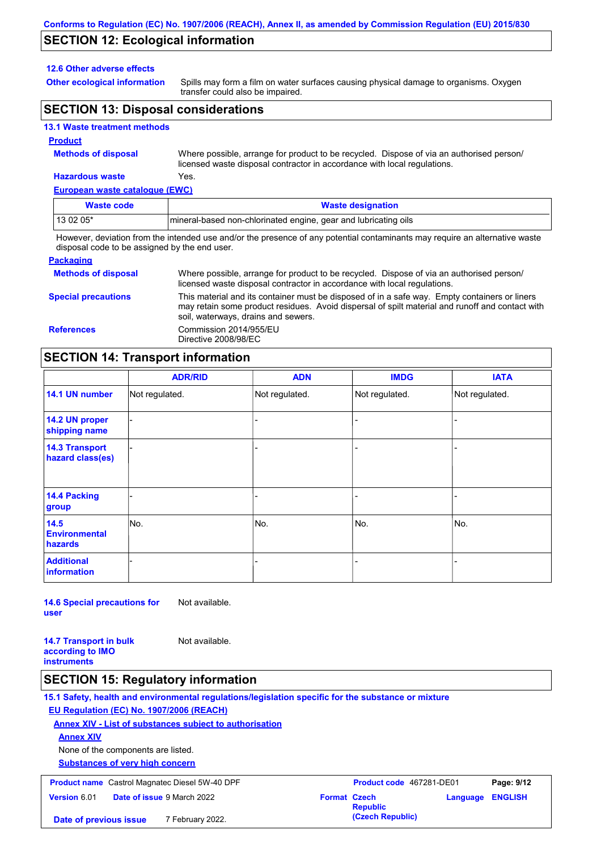### **SECTION 12: Ecological information**

#### **12.6 Other adverse effects**

**Other ecological information**

Spills may form a film on water surfaces causing physical damage to organisms. Oxygen transfer could also be impaired.

### **SECTION 13: Disposal considerations**

#### **13.1 Waste treatment methods**

#### **Product**

**Methods of disposal**

Where possible, arrange for product to be recycled. Dispose of via an authorised person/ licensed waste disposal contractor in accordance with local regulations.

### **Hazardous waste** Yes.

| European waste catalogue (EWC)                                                |                                                                                                                             |  |  |  |  |
|-------------------------------------------------------------------------------|-----------------------------------------------------------------------------------------------------------------------------|--|--|--|--|
| <b>Waste code</b>                                                             | <b>Waste designation</b>                                                                                                    |  |  |  |  |
| 13 02 05*<br>Imineral-based non-chlorinated engine, gear and lubricating oils |                                                                                                                             |  |  |  |  |
|                                                                               | However, deviation from the intended use and/or the presence of any potential contaminants may require an alternative waste |  |  |  |  |

disposal code to be assigned by the end user.

#### **Packaging Methods of disposal Special precautions** Where possible, arrange for product to be recycled. Dispose of via an authorised person/ licensed waste disposal contractor in accordance with local regulations. This material and its container must be disposed of in a safe way. Empty containers or liners may retain some product residues. Avoid dispersal of spilt material and runoff and contact with soil, waterways, drains and sewers. **References** Commission 2014/955/EU Directive 2008/98/EC

#### **SECTION 14: Transport information**

|                                           | <b>ADR/RID</b> | <b>ADN</b>     | <b>IMDG</b>    | <b>IATA</b>    |
|-------------------------------------------|----------------|----------------|----------------|----------------|
| 14.1 UN number                            | Not regulated. | Not regulated. | Not regulated. | Not regulated. |
| 14.2 UN proper<br>shipping name           |                |                |                |                |
| <b>14.3 Transport</b><br>hazard class(es) |                |                |                |                |
| 14.4 Packing<br>group                     |                |                |                |                |
| 14.5<br><b>Environmental</b><br>hazards   | No.            | No.            | No.            | No.            |
| <b>Additional</b><br>information          |                |                |                |                |

**14.6 Special precautions for user** Not available.

**14.7 Transport in bulk according to IMO** 

Not available.

**instruments**

#### **SECTION 15: Regulatory information**

**15.1 Safety, health and environmental regulations/legislation specific for the substance or mixture**

#### **EU Regulation (EC) No. 1907/2006 (REACH)**

#### **Annex XIV - List of substances subject to authorisation**

**Annex XIV**

None of the components are listed.

**Substances of very high concern**

| <b>Product name</b> Castrol Magnatec Diesel 5W-40 DPF |                                   |                     | Product code 467281-DE01 | Page: 9/12              |  |
|-------------------------------------------------------|-----------------------------------|---------------------|--------------------------|-------------------------|--|
| <b>Version 6.01</b>                                   | <b>Date of issue 9 March 2022</b> | <b>Format Czech</b> | <b>Republic</b>          | <b>Language ENGLISH</b> |  |
| Date of previous issue                                | 7 February 2022.                  |                     | (Czech Republic)         |                         |  |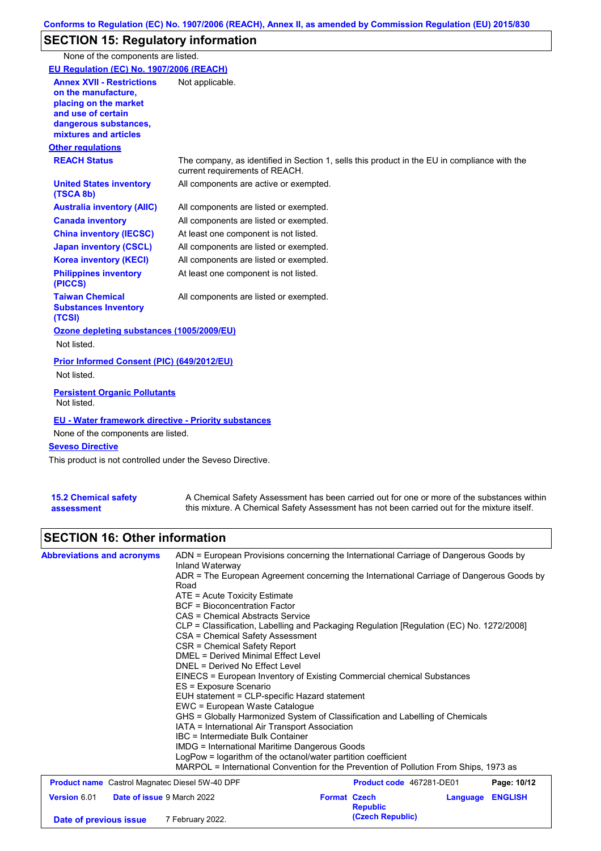# **SECTION 15: Regulatory information**

None of the components are listed.

| EU Regulation (EC) No. 1907/2006 (REACH)                                                                                                                 |                                                                                                                                |
|----------------------------------------------------------------------------------------------------------------------------------------------------------|--------------------------------------------------------------------------------------------------------------------------------|
| <b>Annex XVII - Restrictions</b><br>on the manufacture.<br>placing on the market<br>and use of certain<br>dangerous substances,<br>mixtures and articles | Not applicable.                                                                                                                |
| <b>Other regulations</b>                                                                                                                                 |                                                                                                                                |
| <b>REACH Status</b>                                                                                                                                      | The company, as identified in Section 1, sells this product in the EU in compliance with the<br>current requirements of REACH. |
| <b>United States inventory</b><br>(TSCA 8b)                                                                                                              | All components are active or exempted.                                                                                         |
| <b>Australia inventory (AIIC)</b>                                                                                                                        | All components are listed or exempted.                                                                                         |
| <b>Canada inventory</b>                                                                                                                                  | All components are listed or exempted.                                                                                         |
| <b>China inventory (IECSC)</b>                                                                                                                           | At least one component is not listed.                                                                                          |
| <b>Japan inventory (CSCL)</b>                                                                                                                            | All components are listed or exempted.                                                                                         |
| <b>Korea inventory (KECI)</b>                                                                                                                            | All components are listed or exempted.                                                                                         |
| <b>Philippines inventory</b><br>(PICCS)                                                                                                                  | At least one component is not listed.                                                                                          |
| <b>Taiwan Chemical</b><br><b>Substances Inventory</b><br>(TCSI)                                                                                          | All components are listed or exempted.                                                                                         |
| Ozone depleting substances (1005/2009/EU)                                                                                                                |                                                                                                                                |
| Not listed.                                                                                                                                              |                                                                                                                                |
| Prior Informed Consent (PIC) (649/2012/EU)<br>Not listed.                                                                                                |                                                                                                                                |
| <b>Persistent Organic Pollutants</b><br>Not listed.                                                                                                      |                                                                                                                                |
| <b>EU - Water framework directive - Priority substances</b><br>None of the components are listed.                                                        |                                                                                                                                |
| <b>Seveso Directive</b>                                                                                                                                  |                                                                                                                                |
| This product is not controlled under the Seveso Directive.                                                                                               |                                                                                                                                |
|                                                                                                                                                          |                                                                                                                                |

| <b>15.2 Chemical safety</b> | A Chemical Safety Assessment has been carried out for one or more of the substances within  |
|-----------------------------|---------------------------------------------------------------------------------------------|
| assessment                  | this mixture. A Chemical Safety Assessment has not been carried out for the mixture itself. |

# **SECTION 16: Other information**

| <b>Abbreviations and acronyms</b>                     | ADN = European Provisions concerning the International Carriage of Dangerous Goods by<br>Inland Waterway                                                                                                                                                                                                                                                                                                                                                                                                                                                                                                    |                                                                                          |          |                |  |  |
|-------------------------------------------------------|-------------------------------------------------------------------------------------------------------------------------------------------------------------------------------------------------------------------------------------------------------------------------------------------------------------------------------------------------------------------------------------------------------------------------------------------------------------------------------------------------------------------------------------------------------------------------------------------------------------|------------------------------------------------------------------------------------------|----------|----------------|--|--|
|                                                       | Road                                                                                                                                                                                                                                                                                                                                                                                                                                                                                                                                                                                                        | ADR = The European Agreement concerning the International Carriage of Dangerous Goods by |          |                |  |  |
|                                                       | $ATE =$ Acute Toxicity Estimate                                                                                                                                                                                                                                                                                                                                                                                                                                                                                                                                                                             |                                                                                          |          |                |  |  |
|                                                       | <b>BCF</b> = Bioconcentration Factor                                                                                                                                                                                                                                                                                                                                                                                                                                                                                                                                                                        |                                                                                          |          |                |  |  |
|                                                       | CAS = Chemical Abstracts Service                                                                                                                                                                                                                                                                                                                                                                                                                                                                                                                                                                            |                                                                                          |          |                |  |  |
|                                                       | CLP = Classification, Labelling and Packaging Regulation [Regulation (EC) No. 1272/2008]<br>CSA = Chemical Safety Assessment<br>CSR = Chemical Safety Report<br><b>DMEL = Derived Minimal Effect Level</b><br>DNEL = Derived No Effect Level<br>EINECS = European Inventory of Existing Commercial chemical Substances<br>ES = Exposure Scenario<br>EUH statement = CLP-specific Hazard statement<br>EWC = European Waste Catalogue<br>GHS = Globally Harmonized System of Classification and Labelling of Chemicals<br>IATA = International Air Transport Association<br>IBC = Intermediate Bulk Container |                                                                                          |          |                |  |  |
|                                                       |                                                                                                                                                                                                                                                                                                                                                                                                                                                                                                                                                                                                             |                                                                                          |          |                |  |  |
|                                                       |                                                                                                                                                                                                                                                                                                                                                                                                                                                                                                                                                                                                             |                                                                                          |          |                |  |  |
|                                                       |                                                                                                                                                                                                                                                                                                                                                                                                                                                                                                                                                                                                             |                                                                                          |          |                |  |  |
|                                                       |                                                                                                                                                                                                                                                                                                                                                                                                                                                                                                                                                                                                             |                                                                                          |          |                |  |  |
|                                                       |                                                                                                                                                                                                                                                                                                                                                                                                                                                                                                                                                                                                             |                                                                                          |          |                |  |  |
|                                                       |                                                                                                                                                                                                                                                                                                                                                                                                                                                                                                                                                                                                             |                                                                                          |          |                |  |  |
|                                                       |                                                                                                                                                                                                                                                                                                                                                                                                                                                                                                                                                                                                             |                                                                                          |          |                |  |  |
|                                                       |                                                                                                                                                                                                                                                                                                                                                                                                                                                                                                                                                                                                             |                                                                                          |          |                |  |  |
|                                                       |                                                                                                                                                                                                                                                                                                                                                                                                                                                                                                                                                                                                             |                                                                                          |          |                |  |  |
|                                                       |                                                                                                                                                                                                                                                                                                                                                                                                                                                                                                                                                                                                             |                                                                                          |          |                |  |  |
|                                                       | <b>IMDG</b> = International Maritime Dangerous Goods<br>LogPow = logarithm of the octanol/water partition coefficient                                                                                                                                                                                                                                                                                                                                                                                                                                                                                       |                                                                                          |          |                |  |  |
|                                                       | MARPOL = International Convention for the Prevention of Pollution From Ships, 1973 as                                                                                                                                                                                                                                                                                                                                                                                                                                                                                                                       |                                                                                          |          |                |  |  |
| <b>Product name</b> Castrol Magnatec Diesel 5W-40 DPF |                                                                                                                                                                                                                                                                                                                                                                                                                                                                                                                                                                                                             | Product code 467281-DE01                                                                 |          | Page: 10/12    |  |  |
| Version 6.01<br>Date of issue 9 March 2022            |                                                                                                                                                                                                                                                                                                                                                                                                                                                                                                                                                                                                             | <b>Format Czech</b><br><b>Republic</b>                                                   | Language | <b>ENGLISH</b> |  |  |
| Date of previous issue                                | 7 February 2022.                                                                                                                                                                                                                                                                                                                                                                                                                                                                                                                                                                                            | (Czech Republic)                                                                         |          |                |  |  |
|                                                       |                                                                                                                                                                                                                                                                                                                                                                                                                                                                                                                                                                                                             |                                                                                          |          |                |  |  |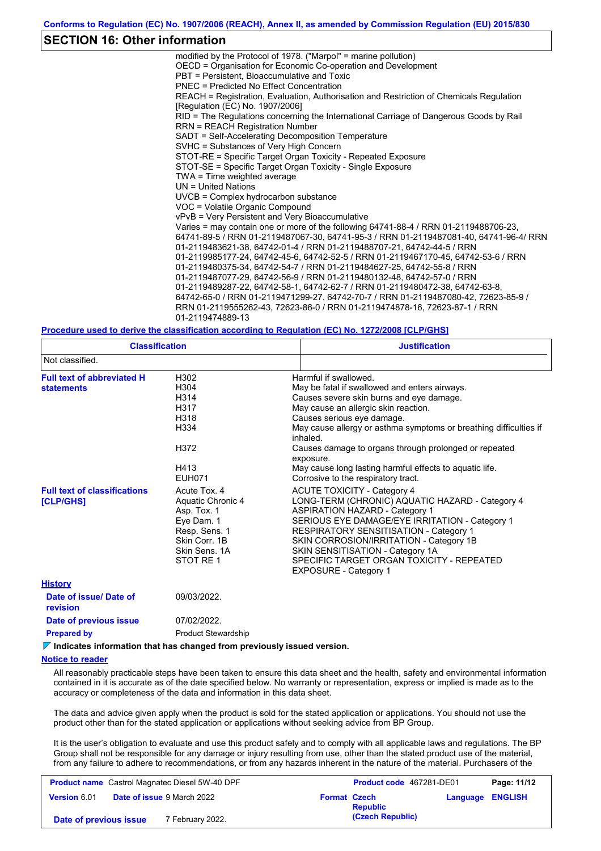#### **SECTION 16: Other information**

modified by the Protocol of 1978. ("Marpol" = marine pollution) OECD = Organisation for Economic Co-operation and Development PBT = Persistent, Bioaccumulative and Toxic PNEC = Predicted No Effect Concentration REACH = Registration, Evaluation, Authorisation and Restriction of Chemicals Regulation [Regulation (EC) No. 1907/2006] RID = The Regulations concerning the International Carriage of Dangerous Goods by Rail RRN = REACH Registration Number SADT = Self-Accelerating Decomposition Temperature SVHC = Substances of Very High Concern STOT-RE = Specific Target Organ Toxicity - Repeated Exposure STOT-SE = Specific Target Organ Toxicity - Single Exposure TWA = Time weighted average UN = United Nations UVCB = Complex hydrocarbon substance VOC = Volatile Organic Compound vPvB = Very Persistent and Very Bioaccumulative Varies = may contain one or more of the following 64741-88-4 / RRN 01-2119488706-23, 64741-89-5 / RRN 01-2119487067-30, 64741-95-3 / RRN 01-2119487081-40, 64741-96-4/ RRN 01-2119483621-38, 64742-01-4 / RRN 01-2119488707-21, 64742-44-5 / RRN 01-2119985177-24, 64742-45-6, 64742-52-5 / RRN 01-2119467170-45, 64742-53-6 / RRN 01-2119480375-34, 64742-54-7 / RRN 01-2119484627-25, 64742-55-8 / RRN 01-2119487077-29, 64742-56-9 / RRN 01-2119480132-48, 64742-57-0 / RRN 01-2119489287-22, 64742-58-1, 64742-62-7 / RRN 01-2119480472-38, 64742-63-8, 64742-65-0 / RRN 01-2119471299-27, 64742-70-7 / RRN 01-2119487080-42, 72623-85-9 / RRN 01-2119555262-43, 72623-86-0 / RRN 01-2119474878-16, 72623-87-1 / RRN 01-2119474889-13

#### **Procedure used to derive the classification according to Regulation (EC) No. 1272/2008 [CLP/GHS]**

| <b>Classification</b><br>Not classified.                                        |                                                                                                                                | <b>Justification</b>                                                                                                                                                                                                                                                                                                                                                                                                                              |  |  |  |
|---------------------------------------------------------------------------------|--------------------------------------------------------------------------------------------------------------------------------|---------------------------------------------------------------------------------------------------------------------------------------------------------------------------------------------------------------------------------------------------------------------------------------------------------------------------------------------------------------------------------------------------------------------------------------------------|--|--|--|
|                                                                                 |                                                                                                                                |                                                                                                                                                                                                                                                                                                                                                                                                                                                   |  |  |  |
| <b>Full text of abbreviated H</b><br><b>statements</b>                          | H302<br>H304<br>H314<br>H317<br>H318<br>H334<br>H372<br>H413<br><b>EUH071</b>                                                  | Harmful if swallowed.<br>May be fatal if swallowed and enters airways.<br>Causes severe skin burns and eye damage.<br>May cause an allergic skin reaction.<br>Causes serious eye damage.<br>May cause allergy or asthma symptoms or breathing difficulties if<br>inhaled.<br>Causes damage to organs through prolonged or repeated<br>exposure.<br>May cause long lasting harmful effects to aquatic life.<br>Corrosive to the respiratory tract. |  |  |  |
| <b>Full text of classifications</b><br><b>[CLP/GHS]</b>                         | Acute Tox, 4<br>Aquatic Chronic 4<br>Asp. Tox. 1<br>Eye Dam. 1<br>Resp. Sens. 1<br>Skin Corr. 1B<br>Skin Sens, 1A<br>STOT RE 1 | <b>ACUTE TOXICITY - Category 4</b><br>LONG-TERM (CHRONIC) AQUATIC HAZARD - Category 4<br><b>ASPIRATION HAZARD - Category 1</b><br>SERIOUS EYE DAMAGE/EYE IRRITATION - Category 1<br><b>RESPIRATORY SENSITISATION - Category 1</b><br>SKIN CORROSION/IRRITATION - Category 1B<br>SKIN SENSITISATION - Category 1A<br>SPECIFIC TARGET ORGAN TOXICITY - REPEATED<br><b>EXPOSURE - Category 1</b>                                                     |  |  |  |
| <b>History</b>                                                                  |                                                                                                                                |                                                                                                                                                                                                                                                                                                                                                                                                                                                   |  |  |  |
| Date of issue/Date of<br>revision                                               | 09/03/2022.                                                                                                                    |                                                                                                                                                                                                                                                                                                                                                                                                                                                   |  |  |  |
| Date of previous issue                                                          | 07/02/2022.                                                                                                                    |                                                                                                                                                                                                                                                                                                                                                                                                                                                   |  |  |  |
| <b>Prepared by</b>                                                              | <b>Product Stewardship</b>                                                                                                     |                                                                                                                                                                                                                                                                                                                                                                                                                                                   |  |  |  |
| $\nabla$ Indicates information that has changed from previously issued version. |                                                                                                                                |                                                                                                                                                                                                                                                                                                                                                                                                                                                   |  |  |  |

#### **Notice to reader**

All reasonably practicable steps have been taken to ensure this data sheet and the health, safety and environmental information contained in it is accurate as of the date specified below. No warranty or representation, express or implied is made as to the accuracy or completeness of the data and information in this data sheet.

The data and advice given apply when the product is sold for the stated application or applications. You should not use the product other than for the stated application or applications without seeking advice from BP Group.

It is the user's obligation to evaluate and use this product safely and to comply with all applicable laws and regulations. The BP Group shall not be responsible for any damage or injury resulting from use, other than the stated product use of the material, from any failure to adhere to recommendations, or from any hazards inherent in the nature of the material. Purchasers of the

| <b>Product name</b> Castrol Magnatec Diesel 5W-40 DPF |  | Product code 467281-DE01          |                     | Page: 11/12     |                         |  |
|-------------------------------------------------------|--|-----------------------------------|---------------------|-----------------|-------------------------|--|
| Version 6.01                                          |  | <b>Date of issue 9 March 2022</b> | <b>Format Czech</b> | <b>Republic</b> | <b>Language ENGLISH</b> |  |
| 7 February 2022.<br>Date of previous issue            |  |                                   | (Czech Republic)    |                 |                         |  |